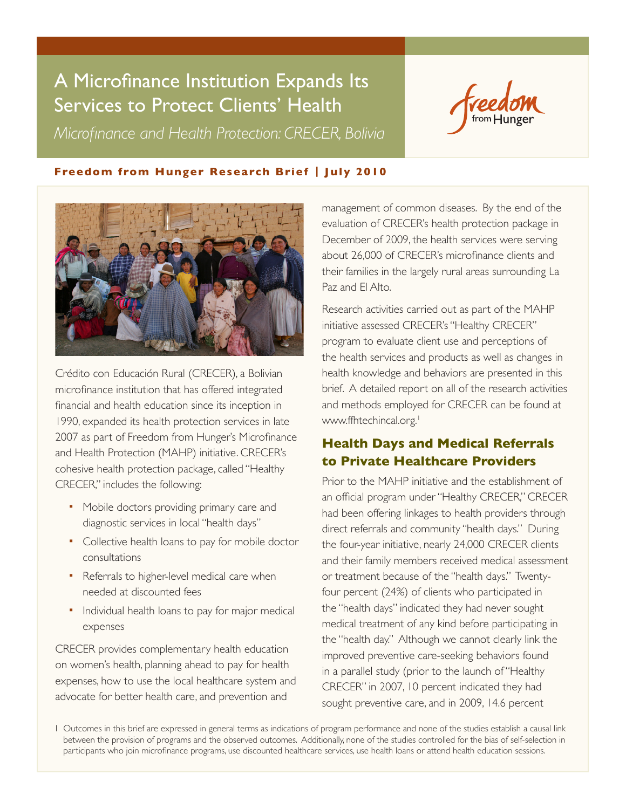# A Microfinance Institution Expands Its Services to Protect Clients' Health

*Microfinance and Health Protection: CRECER, Bolivia*



## **Freedom from Hunger Research Brief | July 2010**



Crédito con Educación Rural (CRECER), a Bolivian microfinance institution that has offered integrated financial and health education since its inception in 1990, expanded its health protection services in late 2007 as part of Freedom from Hunger's Microfinance and Health Protection (MAHP) initiative. CRECER's cohesive health protection package, called "Healthy CRECER," includes the following:

- Mobile doctors providing primary care and diagnostic services in local "health days"
- Collective health loans to pay for mobile doctor consultations
- Referrals to higher-level medical care when needed at discounted fees
- **Individual health loans to pay for major medical** expenses

CRECER provides complementary health education on women's health, planning ahead to pay for health expenses, how to use the local healthcare system and advocate for better health care, and prevention and

management of common diseases. By the end of the evaluation of CRECER's health protection package in December of 2009, the health services were serving about 26,000 of CRECER's microfinance clients and their families in the largely rural areas surrounding La Paz and El Alto.

Research activities carried out as part of the MAHP initiative assessed CRECER's "Healthy CRECER" program to evaluate client use and perceptions of the health services and products as well as changes in health knowledge and behaviors are presented in this brief. A detailed report on all of the research activities and methods employed for CRECER can be found at [www.ffhtechincal.org](http://ffhtechnical.org).<sup>1</sup>

## **Health Days and Medical Referrals to Private Healthcare Providers**

Prior to the MAHP initiative and the establishment of an official program under "Healthy CRECER," CRECER had been offering linkages to health providers through direct referrals and community "health days." During the four-year initiative, nearly 24,000 CRECER clients and their family members received medical assessment or treatment because of the "health days." Twentyfour percent (24%) of clients who participated in the "health days" indicated they had never sought medical treatment of any kind before participating in the "health day." Although we cannot clearly link the improved preventive care-seeking behaviors found in a parallel study (prior to the launch of "Healthy CRECER" in 2007, 10 percent indicated they had sought preventive care, and in 2009, 14.6 percent

1 Outcomes in this brief are expressed in general terms as indications of program performance and none of the studies establish a causal link between the provision of programs and the observed outcomes. Additionally, none of the studies controlled for the bias of self-selection in participants who join microfinance programs, use discounted healthcare services, use health loans or attend health education sessions.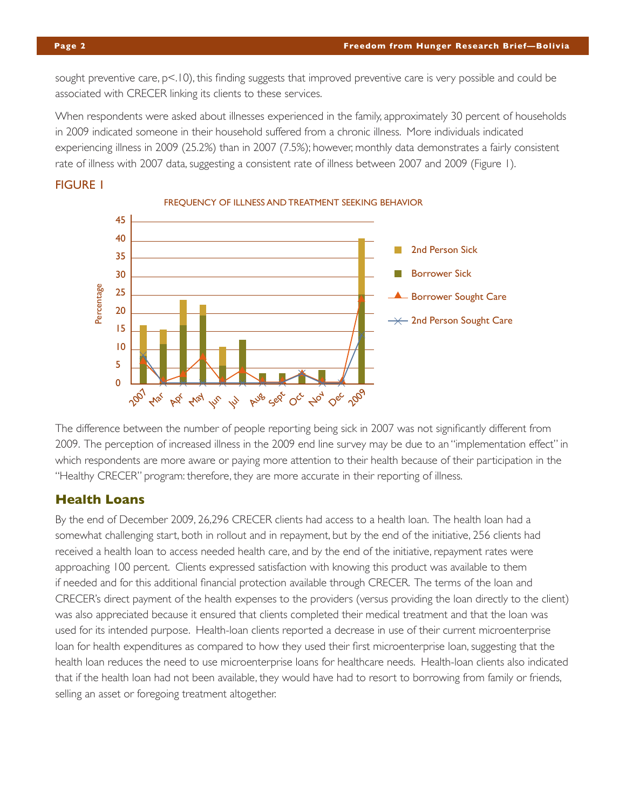**Page 2 Freedom from Hunger Research Brief—Bolivia**

sought preventive care,  $p<10$ , this finding suggests that improved preventive care is very possible and could be associated with CRECER linking its clients to these services.

When respondents were asked about illnesses experienced in the family, approximately 30 percent of households in 2009 indicated someone in their household suffered from a chronic illness. More individuals indicated experiencing illness in 2009 (25.2%) than in 2007 (7.5%); however, monthly data demonstrates a fairly consistent rate of illness with 2007 data, suggesting a consistent rate of illness between 2007 and 2009 (Figure 1).





FREQUENCY OF ILLNESS AND TREATMENT SEEKING BEHAVIOR

The difference between the number of people reporting being sick in 2007 was not significantly different from 2009. The perception of increased illness in the 2009 end line survey may be due to an "implementation effect" in which respondents are more aware or paying more attention to their health because of their participation in the "Healthy CRECER" program: therefore, they are more accurate in their reporting of illness.

## **Health Loans**

By the end of December 2009, 26,296 CRECER clients had access to a health loan. The health loan had a somewhat challenging start, both in rollout and in repayment, but by the end of the initiative, 256 clients had received a health loan to access needed health care, and by the end of the initiative, repayment rates were approaching 100 percent. Clients expressed satisfaction with knowing this product was available to them if needed and for this additional financial protection available through CRECER. The terms of the loan and CRECER's direct payment of the health expenses to the providers (versus providing the loan directly to the client) was also appreciated because it ensured that clients completed their medical treatment and that the loan was used for its intended purpose. Health-loan clients reported a decrease in use of their current microenterprise loan for health expenditures as compared to how they used their first microenterprise loan, suggesting that the health loan reduces the need to use microenterprise loans for healthcare needs. Health-loan clients also indicated that if the health loan had not been available, they would have had to resort to borrowing from family or friends, selling an asset or foregoing treatment altogether.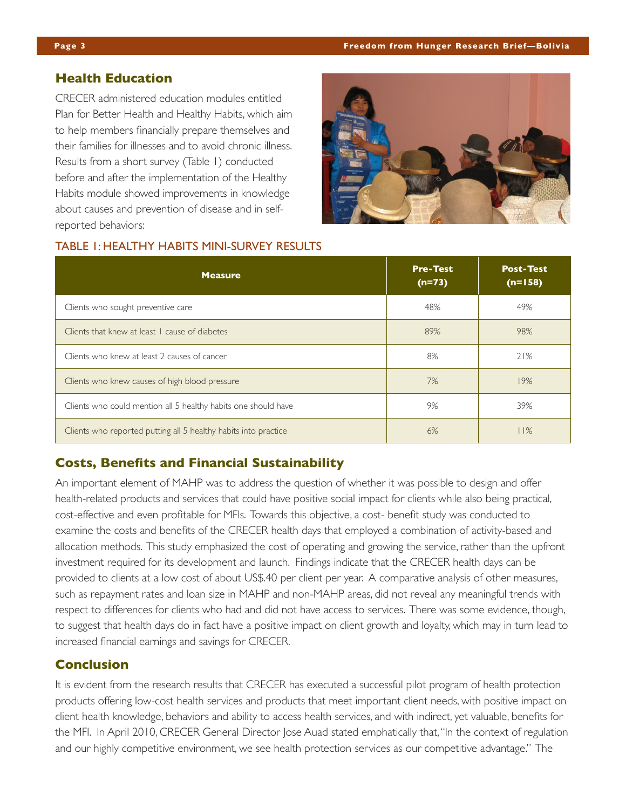### **Health Education**

CRECER administered education modules entitled Plan for Better Health and Healthy Habits, which aim to help members financially prepare themselves and their families for illnesses and to avoid chronic illness. Results from a short survey (Table 1) conducted before and after the implementation of the Healthy Habits module showed improvements in knowledge about causes and prevention of disease and in selfreported behaviors:



#### TABLE 1: HEALTHY HABITS MINI-SURVEY RESULTS

| <b>Measure</b>                                                  | <b>Pre-Test</b><br>$(n=73)$ | <b>Post-Test</b><br>$(n=158)$ |
|-----------------------------------------------------------------|-----------------------------|-------------------------------|
| Clients who sought preventive care                              | 48%                         | 49%                           |
| Clients that knew at least I cause of diabetes                  | 89%                         | 98%                           |
| Clients who knew at least 2 causes of cancer                    | 8%                          | 21%                           |
| Clients who knew causes of high blood pressure                  | 7%                          | 19%                           |
| Clients who could mention all 5 healthy habits one should have  | 9%                          | 39%                           |
| Clients who reported putting all 5 healthy habits into practice | 6%                          | 11%                           |

### **Costs, Benefits and Financial Sustainability**

An important element of MAHP was to address the question of whether it was possible to design and offer health-related products and services that could have positive social impact for clients while also being practical, cost-effective and even profitable for MFIs. Towards this objective, a cost- benefit study was conducted to examine the costs and benefits of the CRECER health days that employed a combination of activity-based and allocation methods. This study emphasized the cost of operating and growing the service, rather than the upfront investment required for its development and launch. Findings indicate that the CRECER health days can be provided to clients at a low cost of about US\$.40 per client per year. A comparative analysis of other measures, such as repayment rates and loan size in MAHP and non-MAHP areas, did not reveal any meaningful trends with respect to differences for clients who had and did not have access to services. There was some evidence, though, to suggest that health days do in fact have a positive impact on client growth and loyalty, which may in turn lead to increased financial earnings and savings for CRECER.

#### **Conclusion**

It is evident from the research results that CRECER has executed a successful pilot program of health protection products offering low-cost health services and products that meet important client needs, with positive impact on client health knowledge, behaviors and ability to access health services, and with indirect, yet valuable, benefits for the MFI. In April 2010, CRECER General Director Jose Auad stated emphatically that, "In the context of regulation and our highly competitive environment, we see health protection services as our competitive advantage." The